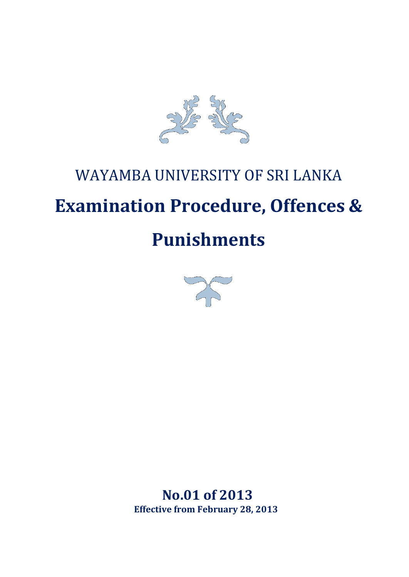

# WAYAMBA UNIVERSITY OF SRI LANKA **Examination Procedure, Offences & Punishments**



**No.01 of 2013 Effective from February 28, 2013**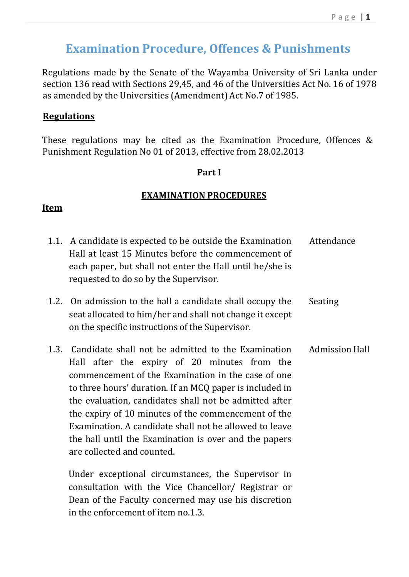## **Examination Procedure, Offences & Punishments**

Regulations made by the Senate of the Wayamba University of Sri Lanka under section 136 read with Sections 29,45, and 46 of the Universities Act No. 16 of 1978 as amended by the Universities (Amendment) Act No.7 of 1985.

## **Regulations**

These regulations may be cited as the Examination Procedure, Offences & Punishment Regulation No 01 of 2013, effective from 28.02.2013

## **Part I**

## **EXAMINATION PROCEDURES**

## **Item**

| 1.1. | A candidate is expected to be outside the Examination<br>Hall at least 15 Minutes before the commencement of<br>each paper, but shall not enter the Hall until he/she is<br>requested to do so by the Supervisor.                                                                                                                                                                                                                                                                                                                                 | Attendance     |
|------|---------------------------------------------------------------------------------------------------------------------------------------------------------------------------------------------------------------------------------------------------------------------------------------------------------------------------------------------------------------------------------------------------------------------------------------------------------------------------------------------------------------------------------------------------|----------------|
|      | 1.2. On admission to the hall a candidate shall occupy the<br>seat allocated to him/her and shall not change it except<br>on the specific instructions of the Supervisor.                                                                                                                                                                                                                                                                                                                                                                         | Seating        |
|      | 1.3. Candidate shall not be admitted to the Examination<br>Hall after the expiry of 20 minutes from the<br>commencement of the Examination in the case of one<br>to three hours' duration. If an MCQ paper is included in<br>the evaluation, candidates shall not be admitted after<br>the expiry of 10 minutes of the commencement of the<br>Examination. A candidate shall not be allowed to leave<br>the hall until the Examination is over and the papers<br>are collected and counted.<br>Under exceptional circumstances, the Supervisor in | Admission Hall |

consultation with the Vice Chancellor/ Registrar or Dean of the Faculty concerned may use his discretion in the enforcement of item no.1.3.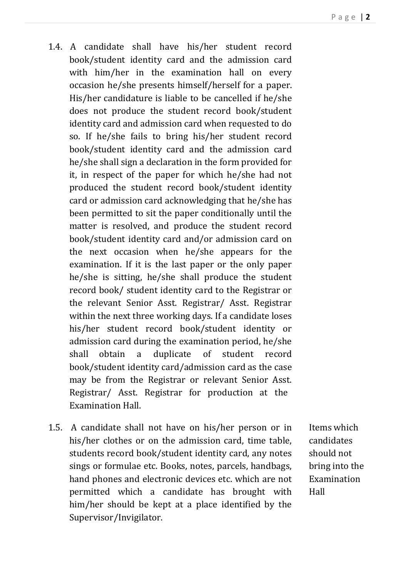- 1.4. A candidate shall have his/her student record book/student identity card and the admission card with him/her in the examination hall on every occasion he/she presents himself/herself for a paper. His/her candidature is liable to be cancelled if he/she does not produce the student record book/student identity card and admission card when requested to do so. If he/she fails to bring his/her student record book/student identity card and the admission card he/she shall sign a declaration in the form provided for it, in respect of the paper for which he/she had not produced the student record book/student identity card or admission card acknowledging that he/she has been permitted to sit the paper conditionally until the matter is resolved, and produce the student record book/student identity card and/or admission card on the next occasion when he/she appears for the examination. If it is the last paper or the only paper he/she is sitting, he/she shall produce the student record book/ student identity card to the Registrar or the relevant Senior Asst. Registrar/ Asst. Registrar within the next three working days. If a candidate loses his/her student record book/student identity or admission card during the examination period, he/she shall obtain a duplicate of student record book/student identity card/admission card as the case may be from the Registrar or relevant Senior Asst. Registrar/ Asst. Registrar for production at the Examination Hall.
- 1.5. A candidate shall not have on his/her person or in his/her clothes or on the admission card, time table, students record book/student identity card, any notes sings or formulae etc. Books, notes, parcels, handbags, hand phones and electronic devices etc. which are not permitted which a candidate has brought with him/her should be kept at a place identified by the Supervisor/Invigilator.

Items which candidates should not bring into the Examination Hall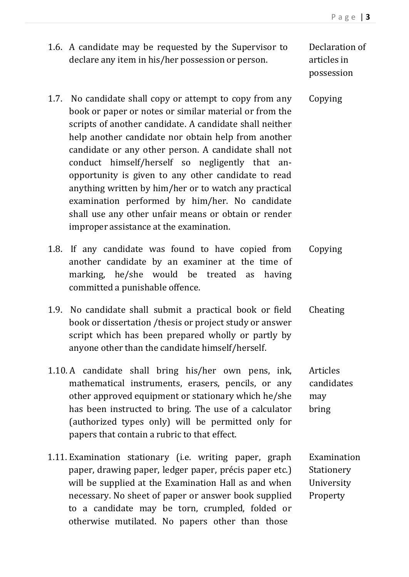1.6. A candidate may be requested by the Supervisor to declare any item in his/her possession or person.

Declaration of articles in possession

Examination **Stationery** University Property

- 1.7. No candidate shall copy or attempt to copy from any book or paper or notes or similar material or from the scripts of another candidate. A candidate shall neither help another candidate nor obtain help from another candidate or any other person. A candidate shall not conduct himself/herself so negligently that anopportunity is given to any other candidate to read anything written by him/her or to watch any practical examination performed by him/her. No candidate shall use any other unfair means or obtain or render improper assistance at the examination. Copying
- 1.8. If any candidate was found to have copied from another candidate by an examiner at the time of marking, he/she would be treated as having committed a punishable offence. Copying
- 1.9. No candidate shall submit a practical book or field book or dissertation /thesis or project study or answer script which has been prepared wholly or partly by anyone other than the candidate himself/herself. Cheating
- 1.10. A candidate shall bring his/her own pens, ink, mathematical instruments, erasers, pencils, or any other approved equipment or stationary which he/she has been instructed to bring. The use of a calculator (authorized types only) will be permitted only for papers that contain a rubric to that effect. Articles candidates may bring
- 1.11. Examination stationary (i.e. writing paper, graph paper, drawing paper, ledger paper, précis paper etc.) will be supplied at the Examination Hall as and when necessary. No sheet of paper or answer book supplied to a candidate may be torn, crumpled, folded or otherwise mutilated. No papers other than those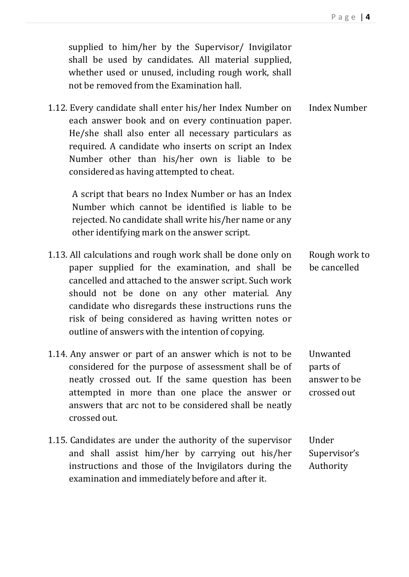supplied to him/her by the Supervisor/ Invigilator shall be used by candidates. All material supplied, whether used or unused, including rough work, shall not be removed from the Examination hall. 1.12. Every candidate shall enter his/her Index Number on each answer book and on every continuation paper. He/she shall also enter all necessary particulars as required. A candidate who inserts on script an Index Number other than his/her own is liable to be considered as having attempted to cheat. Index Number A script that bears no Index Number or has an Index Number which cannot be identified is liable to be rejected. No candidate shall write his/her name or any other identifying mark on the answer script. 1.13. All calculations and rough work shall be done only on paper supplied for the examination, and shall be cancelled and attached to the answer script. Such work should not be done on any other material. Any candidate who disregards these instructions runs the risk of being considered as having written notes or outline of answers with the intention of copying. Rough work to be cancelled 1.14. Any answer or part of an answer which is not to be considered for the purpose of assessment shall be of neatly crossed out. If the same question has been attempted in more than one place the answer or answers that arc not to be considered shall be neatly crossed out. Unwanted parts of answer to be crossed out 1.15. Candidates are under the authority of the supervisor and shall assist him/her by carrying out his/her instructions and those of the Invigilators during the examination and immediately before and after it. Under Supervisor's Authority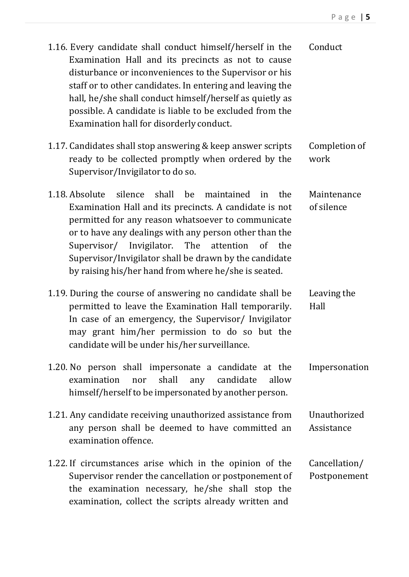| 1.16. Every candidate shall conduct himself/herself in the<br>Examination Hall and its precincts as not to cause<br>disturbance or inconveniences to the Supervisor or his<br>staff or to other candidates. In entering and leaving the<br>hall, he/she shall conduct himself/herself as quietly as<br>possible. A candidate is liable to be excluded from the<br>Examination hall for disorderly conduct.             | Conduct                       |
|------------------------------------------------------------------------------------------------------------------------------------------------------------------------------------------------------------------------------------------------------------------------------------------------------------------------------------------------------------------------------------------------------------------------|-------------------------------|
| 1.17. Candidates shall stop answering & keep answer scripts<br>ready to be collected promptly when ordered by the<br>Supervisor/Invigilator to do so.                                                                                                                                                                                                                                                                  | Completion of<br>work         |
| 1.18. Absolute<br>silence<br>shall<br>be<br>maintained in<br>the<br>Examination Hall and its precincts. A candidate is not<br>permitted for any reason whatsoever to communicate<br>or to have any dealings with any person other than the<br>Supervisor/ Invigilator.<br>The<br>attention<br>of the<br>Supervisor/Invigilator shall be drawn by the candidate<br>by raising his/her hand from where he/she is seated. | Maintenance<br>of silence     |
| 1.19. During the course of answering no candidate shall be<br>permitted to leave the Examination Hall temporarily.<br>In case of an emergency, the Supervisor/ Invigilator<br>may grant him/her permission to do so but the<br>candidate will be under his/her surveillance.                                                                                                                                           | Leaving the<br>Hall           |
| 1.20. No person shall impersonate a candidate at the<br>shall<br>any candidate<br>examination<br>allow<br>nor<br>himself/herself to be impersonated by another person.                                                                                                                                                                                                                                                 | Impersonation                 |
| 1.21. Any candidate receiving unauthorized assistance from<br>any person shall be deemed to have committed an<br>examination offence.                                                                                                                                                                                                                                                                                  | Unauthorized<br>Assistance    |
| 1.22. If circumstances arise which in the opinion of the<br>Supervisor render the cancellation or postponement of<br>the examination necessary, he/she shall stop the<br>examination, collect the scripts already written and                                                                                                                                                                                          | Cancellation/<br>Postponement |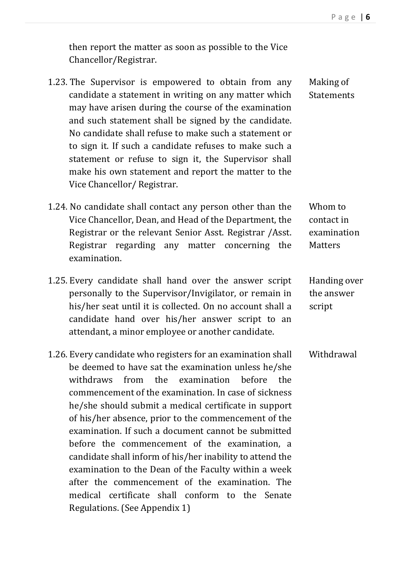then report the matter as soon as possible to the Vice Chancellor/Registrar.

- 1.23. The Supervisor is empowered to obtain from any candidate a statement in writing on any matter which may have arisen during the course of the examination and such statement shall be signed by the candidate. No candidate shall refuse to make such a statement or to sign it. If such a candidate refuses to make such a statement or refuse to sign it, the Supervisor shall make his own statement and report the matter to the Vice Chancellor/ Registrar.
- 1.24. No candidate shall contact any person other than the Vice Chancellor, Dean, and Head of the Department, the Registrar or the relevant Senior Asst. Registrar /Asst. Registrar regarding any matter concerning the examination.
- 1.25. Every candidate shall hand over the answer script personally to the Supervisor/Invigilator, or remain in his/her seat until it is collected. On no account shall a candidate hand over his/her answer script to an attendant, a minor employee or another candidate.
- 1.26. Every candidate who registers for an examination shall be deemed to have sat the examination unless he/she withdraws from the examination before the commencement of the examination. In case of sickness he/she should submit a medical certificate in support of his/her absence, prior to the commencement of the examination. If such a document cannot be submitted before the commencement of the examination, a candidate shall inform of his/her inability to attend the examination to the Dean of the Faculty within a week after the commencement of the examination. The medical certificate shall conform to the Senate Regulations. (See Appendix 1) Withdrawal

Making of **Statements** 

Whom to contact in examination **Matters** 

Handing over the answer script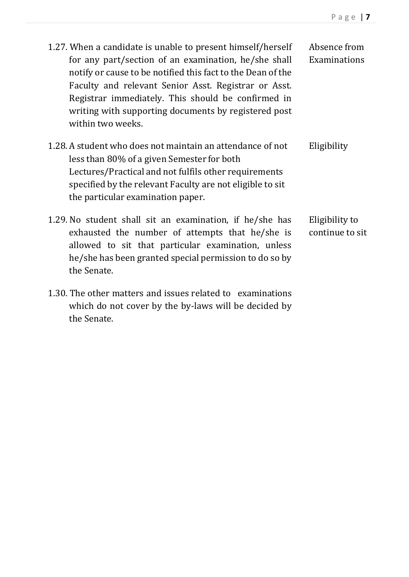| 1.27. When a candidate is unable to present himself/herself<br>for any part/section of an examination, he/she shall<br>notify or cause to be notified this fact to the Dean of the<br>Faculty and relevant Senior Asst. Registrar or Asst.<br>Registrar immediately. This should be confirmed in<br>writing with supporting documents by registered post<br>within two weeks. | Absence from<br>Examinations      |
|-------------------------------------------------------------------------------------------------------------------------------------------------------------------------------------------------------------------------------------------------------------------------------------------------------------------------------------------------------------------------------|-----------------------------------|
| 1.28. A student who does not maintain an attendance of not<br>less than 80% of a given Semester for both<br>Lectures/Practical and not fulfils other requirements<br>specified by the relevant Faculty are not eligible to sit<br>the particular examination paper.                                                                                                           | Eligibility                       |
| 1.29. No student shall sit an examination, if he/she has<br>exhausted the number of attempts that he/she is<br>allowed to sit that particular examination, unless<br>he/she has been granted special permission to do so by<br>the Senate.                                                                                                                                    | Eligibility to<br>continue to sit |
| 1.30. The other matters and issues related to examinations<br>which do not cover by the by-laws will be decided by                                                                                                                                                                                                                                                            |                                   |

the Senate.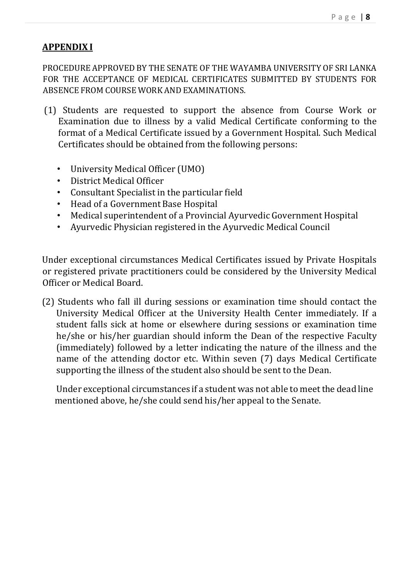## **APPENDIX I**

PROCEDURE APPROVED BY THE SENATE OF THE WAYAMBA UNIVERSITY OF SRI LANKA FOR THE ACCEPTANCE OF MEDICAL CERTIFICATES SUBMITTED BY STUDENTS FOR ABSENCE FROM COURSE WORK AND EXAMINATIONS.

- (1) Students are requested to support the absence from Course Work or Examination due to illness by a valid Medical Certificate conforming to the format of a Medical Certificate issued by a Government Hospital. Such Medical Certificates should be obtained from the following persons:
	- University Medical Officer (UMO)
	- District Medical Officer
	- Consultant Specialist in the particular field
	- Head of a Government Base Hospital
	- Medical superintendent of a Provincial Ayurvedic Government Hospital
	- Ayurvedic Physician registered in the Ayurvedic Medical Council

Under exceptional circumstances Medical Certificates issued by Private Hospitals or registered private practitioners could be considered by the University Medical Officer or Medical Board.

(2) Students who fall ill during sessions or examination time should contact the University Medical Officer at the University Health Center immediately. If a student falls sick at home or elsewhere during sessions or examination time he/she or his/her guardian should inform the Dean of the respective Faculty (immediately) followed by a letter indicating the nature of the illness and the name of the attending doctor etc. Within seven (7) days Medical Certificate supporting the illness of the student also should be sent to the Dean.

Under exceptional circumstances if a student was not able to meet the dead line mentioned above, he/she could send his/her appeal to the Senate.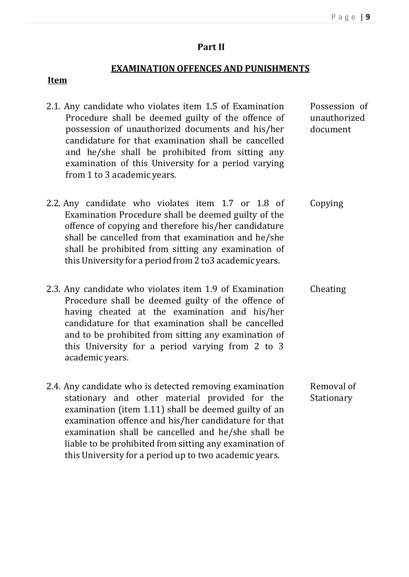#### **Part II**

#### **EXAMINATION OFFENCES AND PUNISHMENTS**

#### **Item**

2.1. Any candidate who violates item 1.5 of Examination Procedure shall be deemed guilty of the offence of possession of unauthorized documents and his/her candidature for that examination shall be cancelled and he/she shall be prohibited from sitting any examination of this University for a period varying from 1 to 3 academic years. Possession of unauthorized document 2.2. Any candidate who violates item 1.7 or 1.8 of Examination Procedure shall be deemed guilty of the offence of copying and therefore his/her candidature shall be cancelled from that examination and he/she shall be prohibited from sitting any examination of this University for a period from 2 to3 academic years. Copying 2.3. Any candidate who violates item 1.9 of Examination Procedure shall be deemed guilty of the offence of having cheated at the examination and his/her candidature for that examination shall be cancelled and to be prohibited from sitting any examination of this University for a period varying from 2 to 3 academic years. Cheating 2.4. Any candidate who is detected removing examination stationary and other material provided for the examination (item 1.11) shall be deemed guilty of an examination offence and his/her candidature for that examination shall be cancelled and he/she shall be liable to be prohibited from sitting any examination of Removal of Stationary

this University for a period up to two academic years.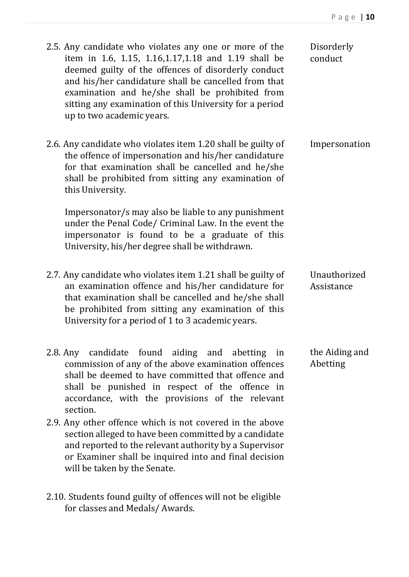| 2.5. Any candidate who violates any one or more of the<br>item in 1.6, 1.15, 1.16, 1.17, 1.18 and 1.19 shall be<br>deemed guilty of the offences of disorderly conduct<br>and his/her candidature shall be cancelled from that<br>examination and he/she shall be prohibited from<br>sitting any examination of this University for a period<br>up to two academic years. | Disorderly<br>conduct      |
|---------------------------------------------------------------------------------------------------------------------------------------------------------------------------------------------------------------------------------------------------------------------------------------------------------------------------------------------------------------------------|----------------------------|
| 2.6. Any candidate who violates item 1.20 shall be guilty of<br>the offence of impersonation and his/her candidature<br>for that examination shall be cancelled and he/she<br>shall be prohibited from sitting any examination of<br>this University.                                                                                                                     | Impersonation              |
| Impersonator/s may also be liable to any punishment<br>under the Penal Code/ Criminal Law. In the event the<br>impersonator is found to be a graduate of this<br>University, his/her degree shall be withdrawn.                                                                                                                                                           |                            |
| 2.7. Any candidate who violates item 1.21 shall be guilty of<br>an examination offence and his/her candidature for<br>that examination shall be cancelled and he/she shall<br>be prohibited from sitting any examination of this<br>University for a period of 1 to 3 academic years.                                                                                     | Unauthorized<br>Assistance |
| 2.8. Any candidate found aiding and abetting<br>in<br>commission of any of the above examination offences<br>shall be deemed to have committed that offence and<br>shall be punished in respect of the offence in<br>accordance, with the provisions of the relevant<br>section.                                                                                          | the Aiding and<br>Abetting |
| 2.9. Any other offence which is not covered in the above<br>section alleged to have been committed by a candidate<br>and reported to the relevant authority by a Supervisor<br>or Examiner shall be inquired into and final decision<br>will be taken by the Senate.                                                                                                      |                            |
|                                                                                                                                                                                                                                                                                                                                                                           |                            |

2.10. Students found guilty of offences will not be eligible for classes and Medals/ Awards.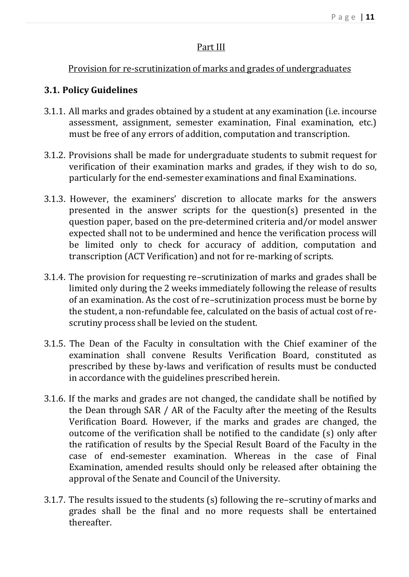## Part III

## Provision for re-scrutinization of marks and grades of undergraduates

## **3.1. Policy Guidelines**

- 3.1.1. All marks and grades obtained by a student at any examination (i.e. incourse assessment, assignment, semester examination, Final examination, etc.) must be free of any errors of addition, computation and transcription.
- 3.1.2. Provisions shall be made for undergraduate students to submit request for verification of their examination marks and grades, if they wish to do so, particularly for the end-semester examinations and final Examinations.
- 3.1.3. However, the examiners' discretion to allocate marks for the answers presented in the answer scripts for the question(s) presented in the question paper, based on the pre-determined criteria and/or model answer expected shall not to be undermined and hence the verification process will be limited only to check for accuracy of addition, computation and transcription (ACT Verification) and not for re-marking of scripts.
- 3.1.4. The provision for requesting re–scrutinization of marks and grades shall be limited only during the 2 weeks immediately following the release of results of an examination. As the cost of re–scrutinization process must be borne by the student, a non-refundable fee, calculated on the basis of actual cost of rescrutiny process shall be levied on the student.
- 3.1.5. The Dean of the Faculty in consultation with the Chief examiner of the examination shall convene Results Verification Board, constituted as prescribed by these by-laws and verification of results must be conducted in accordance with the guidelines prescribed herein.
- 3.1.6. If the marks and grades are not changed, the candidate shall be notified by the Dean through SAR / AR of the Faculty after the meeting of the Results Verification Board. However, if the marks and grades are changed, the outcome of the verification shall be notified to the candidate (s) only after the ratification of results by the Special Result Board of the Faculty in the case of end-semester examination. Whereas in the case of Final Examination, amended results should only be released after obtaining the approval of the Senate and Council of the University.
- 3.1.7. The results issued to the students (s) following the re–scrutiny of marks and grades shall be the final and no more requests shall be entertained thereafter.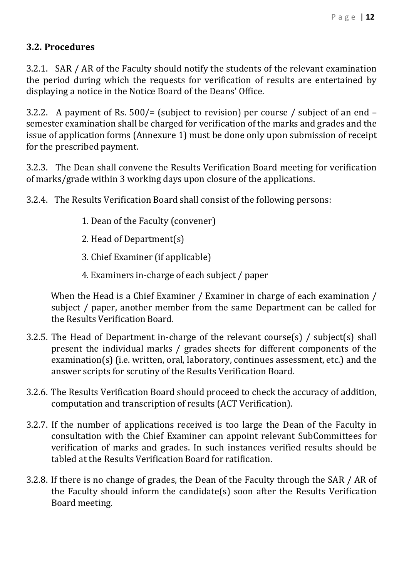## **3.2. Procedures**

3.2.1. SAR / AR of the Faculty should notify the students of the relevant examination the period during which the requests for verification of results are entertained by displaying a notice in the Notice Board of the Deans' Office.

3.2.2. A payment of Rs. 500/= (subject to revision) per course / subject of an end – semester examination shall be charged for verification of the marks and grades and the issue of application forms (Annexure 1) must be done only upon submission of receipt for the prescribed payment.

3.2.3. The Dean shall convene the Results Verification Board meeting for verification of marks/grade within 3 working days upon closure of the applications.

3.2.4. The Results Verification Board shall consist of the following persons:

- 1. Dean of the Faculty (convener)
- 2. Head of Department(s)
- 3. Chief Examiner (if applicable)
- 4. Examiners in-charge of each subject / paper

When the Head is a Chief Examiner / Examiner in charge of each examination / subject / paper, another member from the same Department can be called for the Results Verification Board.

- 3.2.5. The Head of Department in-charge of the relevant course(s) / subject(s) shall present the individual marks / grades sheets for different components of the examination(s) (i.e. written, oral, laboratory, continues assessment, etc.) and the answer scripts for scrutiny of the Results Verification Board.
- 3.2.6. The Results Verification Board should proceed to check the accuracy of addition, computation and transcription of results (ACT Verification).
- 3.2.7. If the number of applications received is too large the Dean of the Faculty in consultation with the Chief Examiner can appoint relevant SubCommittees for verification of marks and grades. In such instances verified results should be tabled at the Results Verification Board for ratification.
- 3.2.8. If there is no change of grades, the Dean of the Faculty through the SAR / AR of the Faculty should inform the candidate(s) soon after the Results Verification Board meeting.